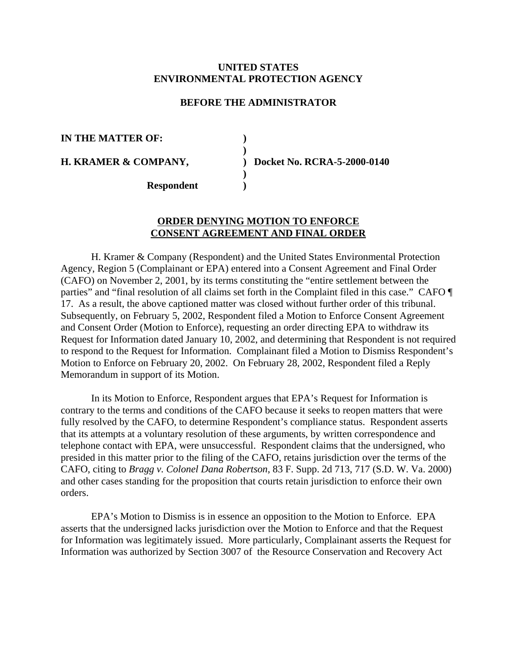## **UNITED STATES ENVIRONMENTAL PROTECTION AGENCY**

## **BEFORE THE ADMINISTRATOR**

**)** 

**)** 

**IN THE MATTER OF: )** 

**H. KRAMER & COMPANY, ) Docket No. RCRA-5-2000-0140** 

**Respondent )** 

## **ORDER DENYING MOTION TO ENFORCE CONSENT AGREEMENT AND FINAL ORDER**

H. Kramer & Company (Respondent) and the United States Environmental Protection Agency, Region 5 (Complainant or EPA) entered into a Consent Agreement and Final Order (CAFO) on November 2, 2001, by its terms constituting the "entire settlement between the parties" and "final resolution of all claims set forth in the Complaint filed in this case." CAFO  $\P$ 17. As a result, the above captioned matter was closed without further order of this tribunal. Subsequently, on February 5, 2002, Respondent filed a Motion to Enforce Consent Agreement and Consent Order (Motion to Enforce), requesting an order directing EPA to withdraw its Request for Information dated January 10, 2002, and determining that Respondent is not required to respond to the Request for Information. Complainant filed a Motion to Dismiss Respondent's Motion to Enforce on February 20, 2002. On February 28, 2002, Respondent filed a Reply Memorandum in support of its Motion.

In its Motion to Enforce, Respondent argues that EPA's Request for Information is contrary to the terms and conditions of the CAFO because it seeks to reopen matters that were fully resolved by the CAFO, to determine Respondent's compliance status. Respondent asserts that its attempts at a voluntary resolution of these arguments, by written correspondence and telephone contact with EPA, were unsuccessful. Respondent claims that the undersigned, who presided in this matter prior to the filing of the CAFO, retains jurisdiction over the terms of the CAFO, citing to *Bragg v. Colonel Dana Robertson*, 83 F. Supp. 2d 713, 717 (S.D. W. Va. 2000) and other cases standing for the proposition that courts retain jurisdiction to enforce their own orders.

EPA's Motion to Dismiss is in essence an opposition to the Motion to Enforce. EPA asserts that the undersigned lacks jurisdiction over the Motion to Enforce and that the Request for Information was legitimately issued. More particularly, Complainant asserts the Request for Information was authorized by Section 3007 of the Resource Conservation and Recovery Act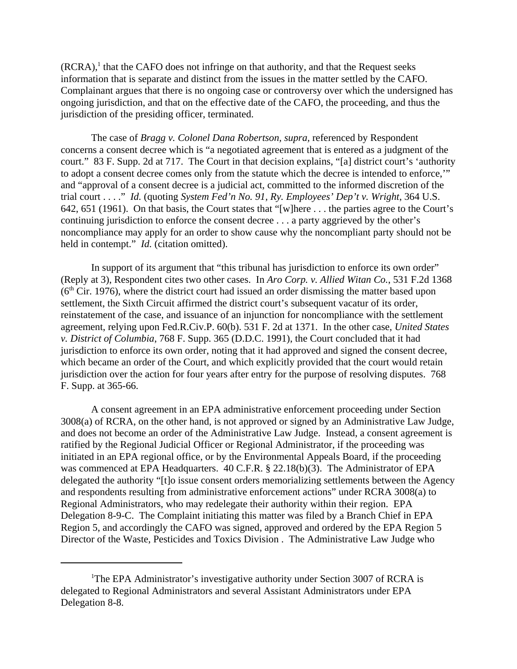$(RCRA)$ ,<sup>1</sup> that the CAFO does not infringe on that authority, and that the Request seeks information that is separate and distinct from the issues in the matter settled by the CAFO. Complainant argues that there is no ongoing case or controversy over which the undersigned has ongoing jurisdiction, and that on the effective date of the CAFO, the proceeding, and thus the jurisdiction of the presiding officer, terminated.

The case of *Bragg v. Colonel Dana Robertson, supra,* referenced by Respondent concerns a consent decree which is "a negotiated agreement that is entered as a judgment of the court." 83 F. Supp. 2d at 717. The Court in that decision explains, "[a] district court's 'authority to adopt a consent decree comes only from the statute which the decree is intended to enforce,'" and "approval of a consent decree is a judicial act, committed to the informed discretion of the trial court . . . ." *Id.* (quoting *System Fed'n No. 91, Ry. Employees' Dep't v. Wright*, 364 U.S. 642, 651 (1961). On that basis, the Court states that "[w]here . . . the parties agree to the Court's continuing jurisdiction to enforce the consent decree . . . a party aggrieved by the other's noncompliance may apply for an order to show cause why the noncompliant party should not be held in contempt." *Id.* (citation omitted).

In support of its argument that "this tribunal has jurisdiction to enforce its own order" (Reply at 3), Respondent cites two other cases. In *Aro Corp. v. Allied Witan Co.*, 531 F.2d 1368  $(6<sup>th</sup> Cir. 1976)$ , where the district court had issued an order dismissing the matter based upon settlement, the Sixth Circuit affirmed the district court's subsequent vacatur of its order, reinstatement of the case, and issuance of an injunction for noncompliance with the settlement agreement, relying upon Fed.R.Civ.P. 60(b). 531 F. 2d at 1371. In the other case, *United States v. District of Columbia*, 768 F. Supp. 365 (D.D.C. 1991), the Court concluded that it had jurisdiction to enforce its own order, noting that it had approved and signed the consent decree, which became an order of the Court, and which explicitly provided that the court would retain jurisdiction over the action for four years after entry for the purpose of resolving disputes. 768 F. Supp. at 365-66.

A consent agreement in an EPA administrative enforcement proceeding under Section 3008(a) of RCRA, on the other hand, is not approved or signed by an Administrative Law Judge, and does not become an order of the Administrative Law Judge. Instead, a consent agreement is ratified by the Regional Judicial Officer or Regional Administrator, if the proceeding was initiated in an EPA regional office, or by the Environmental Appeals Board, if the proceeding was commenced at EPA Headquarters. 40 C.F.R. § 22.18(b)(3). The Administrator of EPA delegated the authority "[t]o issue consent orders memorializing settlements between the Agency and respondents resulting from administrative enforcement actions" under RCRA 3008(a) to Regional Administrators, who may redelegate their authority within their region. EPA Delegation 8-9-C. The Complaint initiating this matter was filed by a Branch Chief in EPA Region 5, and accordingly the CAFO was signed, approved and ordered by the EPA Region 5 Director of the Waste, Pesticides and Toxics Division . The Administrative Law Judge who

<sup>&</sup>lt;sup>1</sup>The EPA Administrator's investigative authority under Section 3007 of RCRA is delegated to Regional Administrators and several Assistant Administrators under EPA Delegation 8-8.